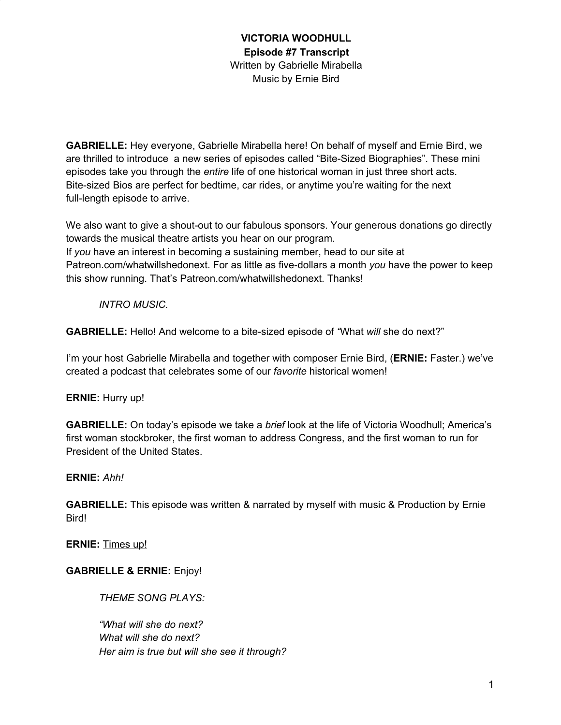**GABRIELLE:** Hey everyone, Gabrielle Mirabella here! On behalf of myself and Ernie Bird, we are thrilled to introduce a new series of episodes called "Bite-Sized Biographies". These mini episodes take you through the *entire* life of one historical woman in just three short acts. Bite-sized Bios are perfect for bedtime, car rides, or anytime you're waiting for the next full-length episode to arrive.

We also want to give a shout-out to our fabulous sponsors. Your generous donations go directly towards the musical theatre artists you hear on our program. If *you* have an interest in becoming a sustaining member, head to our site at Patreon.com/whatwillshedonext. For as little as five-dollars a month *you* have the power to keep this show running. That's Patreon.com/whatwillshedonext. Thanks!

*INTRO MUSIC.*

**GABRIELLE:** Hello! And welcome to a bite-sized episode of *"*What *will* she do next?"

I'm your host Gabrielle Mirabella and together with composer Ernie Bird, (**ERNIE:** Faster.) we've created a podcast that celebrates some of our *favorite* historical women!

**ERNIE:** Hurry up!

**GABRIELLE:** On today's episode we take a *brief* look at the life of Victoria Woodhull; America's first woman stockbroker, the first woman to address Congress, and the first woman to run for President of the United States.

**ERNIE:** *Ahh!*

**GABRIELLE:** This episode was written & narrated by myself with music & Production by Ernie Bird!

**ERNIE:** Times up!

**GABRIELLE & ERNIE:** Enjoy!

*THEME SONG PLAYS:*

*"What will she do next? What will she do next? Her aim is true but will she see it through?*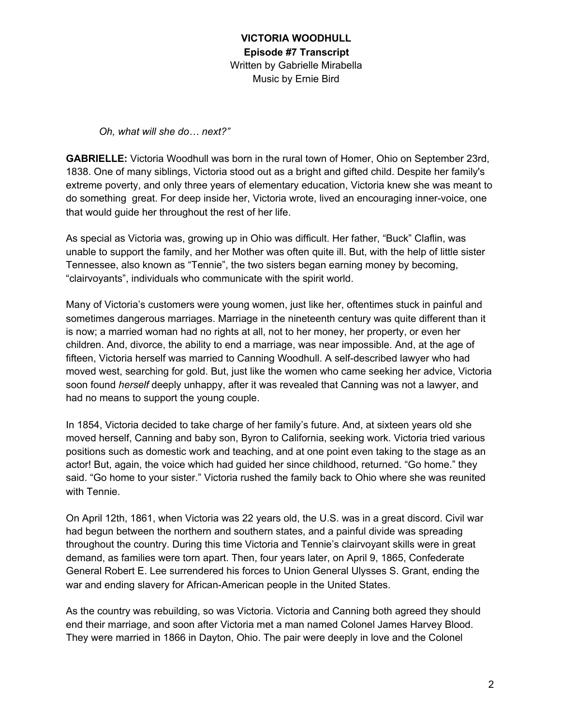*Oh, what will she do… next?"*

**GABRIELLE:** Victoria Woodhull was born in the rural town of Homer, Ohio on September 23rd, 1838. One of many siblings, Victoria stood out as a bright and gifted child. Despite her family's extreme poverty, and only three years of elementary education, Victoria knew she was meant to do something great. For deep inside her, Victoria wrote, lived an encouraging inner-voice, one that would guide her throughout the rest of her life.

As special as Victoria was, growing up in Ohio was difficult. Her father, "Buck" Claflin, was unable to support the family, and her Mother was often quite ill. But, with the help of little sister Tennessee, also known as "Tennie", the two sisters began earning money by becoming, "clairvoyants", individuals who communicate with the spirit world.

Many of Victoria's customers were young women, just like her, oftentimes stuck in painful and sometimes dangerous marriages. Marriage in the nineteenth century was quite different than it is now; a married woman had no rights at all, not to her money, her property, or even her children. And, divorce, the ability to end a marriage, was near impossible. And, at the age of fifteen, Victoria herself was married to Canning Woodhull. A self-described lawyer who had moved west, searching for gold. But, just like the women who came seeking her advice, Victoria soon found *herself* deeply unhappy, after it was revealed that Canning was not a lawyer, and had no means to support the young couple.

In 1854, Victoria decided to take charge of her family's future. And, at sixteen years old she moved herself, Canning and baby son, Byron to California, seeking work. Victoria tried various positions such as domestic work and teaching, and at one point even taking to the stage as an actor! But, again, the voice which had guided her since childhood, returned. "Go home." they said. "Go home to your sister." Victoria rushed the family back to Ohio where she was reunited with Tennie.

On April 12th, 1861, when Victoria was 22 years old, the U.S. was in a great discord. Civil war had begun between the northern and southern states, and a painful divide was spreading throughout the country. During this time Victoria and Tennie's clairvoyant skills were in great demand, as families were torn apart. Then, four years later, on April 9, 1865, Confederate General Robert E. Lee surrendered his forces to Union General Ulysses S. Grant, ending the war and ending slavery for African-American people in the United States.

As the country was rebuilding, so was Victoria. Victoria and Canning both agreed they should end their marriage, and soon after Victoria met a man named Colonel James Harvey Blood. They were married in 1866 in Dayton, Ohio. The pair were deeply in love and the Colonel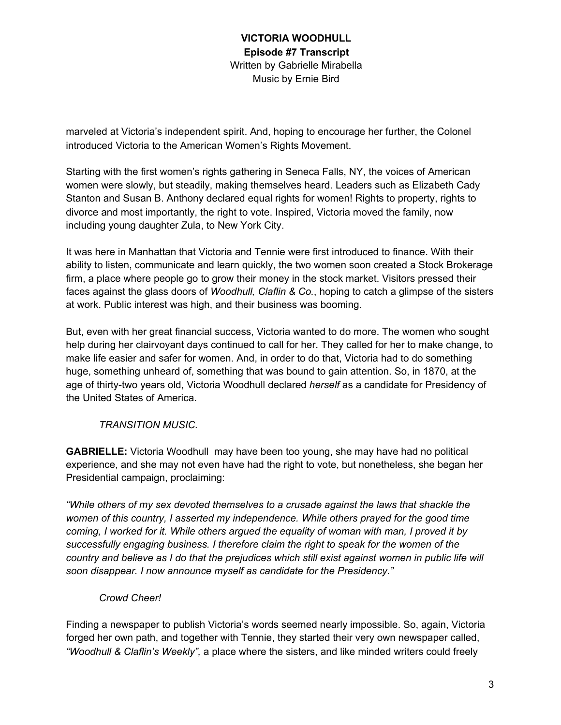marveled at Victoria's independent spirit. And, hoping to encourage her further, the Colonel introduced Victoria to the American Women's Rights Movement.

Starting with the first women's rights gathering in Seneca Falls, NY, the voices of American women were slowly, but steadily, making themselves heard. Leaders such as Elizabeth Cady Stanton and Susan B. Anthony declared equal rights for women! Rights to property, rights to divorce and most importantly, the right to vote. Inspired, Victoria moved the family, now including young daughter Zula, to New York City.

It was here in Manhattan that Victoria and Tennie were first introduced to finance. With their ability to listen, communicate and learn quickly, the two women soon created a Stock Brokerage firm, a place where people go to grow their money in the stock market. Visitors pressed their faces against the glass doors of *Woodhull, Claflin & Co.*, hoping to catch a glimpse of the sisters at work. Public interest was high, and their business was booming.

But, even with her great financial success, Victoria wanted to do more. The women who sought help during her clairvoyant days continued to call for her. They called for her to make change, to make life easier and safer for women. And, in order to do that, Victoria had to do something huge, something unheard of, something that was bound to gain attention. So, in 1870, at the age of thirty-two years old, Victoria Woodhull declared *herself* as a candidate for Presidency of the United States of America.

#### *TRANSITION MUSIC.*

**GABRIELLE:** Victoria Woodhull may have been too young, she may have had no political experience, and she may not even have had the right to vote, but nonetheless, she began her Presidential campaign, proclaiming:

*"While others of my sex devoted themselves to a crusade against the laws that shackle the women of this country, I asserted my independence. While others prayed for the good time coming, I worked for it. While others argued the equality of woman with man, I proved it by successfully engaging business. I therefore claim the right to speak for the women of the* country and believe as I do that the prejudices which still exist against women in public life will *soon disappear. I now announce myself as candidate for the Presidency."*

#### *Crowd Cheer!*

Finding a newspaper to publish Victoria's words seemed nearly impossible. So, again, Victoria forged her own path, and together with Tennie, they started their very own newspaper called, *"Woodhull & Claflin's Weekly",* a place where the sisters, and like minded writers could freely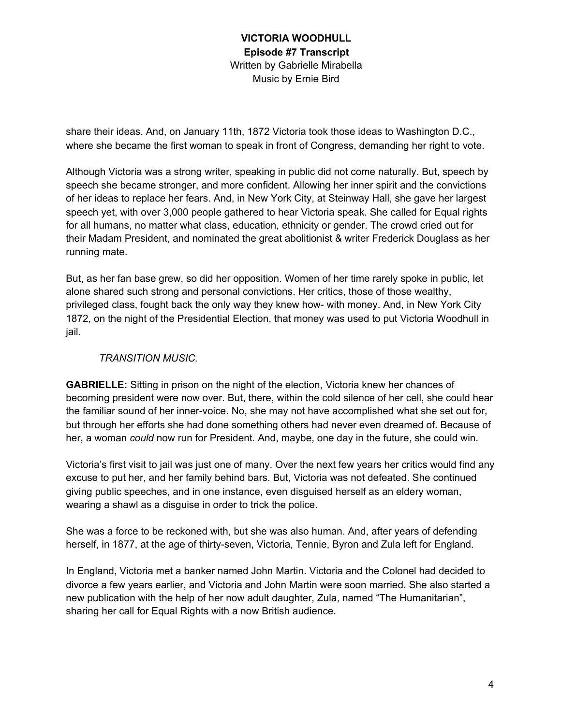share their ideas. And, on January 11th, 1872 Victoria took those ideas to Washington D.C., where she became the first woman to speak in front of Congress, demanding her right to vote.

Although Victoria was a strong writer, speaking in public did not come naturally. But, speech by speech she became stronger, and more confident. Allowing her inner spirit and the convictions of her ideas to replace her fears. And, in New York City, at Steinway Hall, she gave her largest speech yet, with over 3,000 people gathered to hear Victoria speak. She called for Equal rights for all humans, no matter what class, education, ethnicity or gender. The crowd cried out for their Madam President, and nominated the great abolitionist & writer Frederick Douglass as her running mate.

But, as her fan base grew, so did her opposition. Women of her time rarely spoke in public, let alone shared such strong and personal convictions. Her critics, those of those wealthy, privileged class, fought back the only way they knew how- with money. And, in New York City 1872, on the night of the Presidential Election, that money was used to put Victoria Woodhull in jail.

### *TRANSITION MUSIC.*

**GABRIELLE:** Sitting in prison on the night of the election, Victoria knew her chances of becoming president were now over. But, there, within the cold silence of her cell, she could hear the familiar sound of her inner-voice. No, she may not have accomplished what she set out for, but through her efforts she had done something others had never even dreamed of. Because of her, a woman *could* now run for President. And, maybe, one day in the future, she could win.

Victoria's first visit to jail was just one of many. Over the next few years her critics would find any excuse to put her, and her family behind bars. But, Victoria was not defeated. She continued giving public speeches, and in one instance, even disguised herself as an eldery woman, wearing a shawl as a disguise in order to trick the police.

She was a force to be reckoned with, but she was also human. And, after years of defending herself, in 1877, at the age of thirty-seven, Victoria, Tennie, Byron and Zula left for England.

In England, Victoria met a banker named John Martin. Victoria and the Colonel had decided to divorce a few years earlier, and Victoria and John Martin were soon married. She also started a new publication with the help of her now adult daughter, Zula, named "The Humanitarian", sharing her call for Equal Rights with a now British audience.